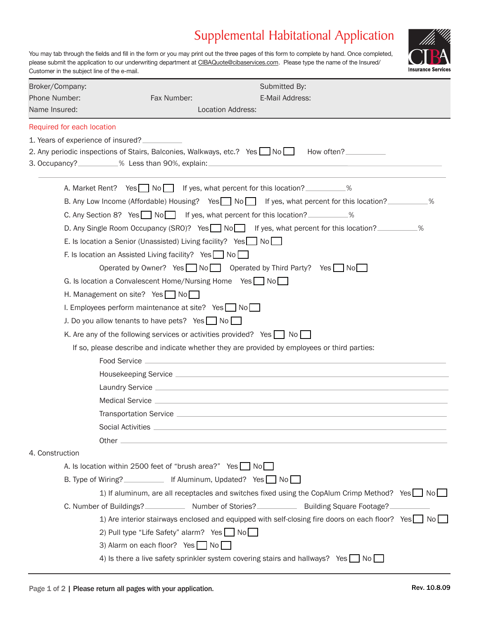## Supplemental Habitational Application

You may tab through the fields and fill in the form or you may print out the three pages of this form to complete by hand. Once completed, please submit the application to our underwriting department at CIBAQuote@cibaservices.com. Please type the name of the Insured/ Customer in the subject line of the e-mail.



| Broker/Company:                    | Submitted By:                                                                                                                                                                                                                                   |    |
|------------------------------------|-------------------------------------------------------------------------------------------------------------------------------------------------------------------------------------------------------------------------------------------------|----|
| Phone Number:                      | E-Mail Address:<br>Fax Number:                                                                                                                                                                                                                  |    |
| Name Insured:                      | <b>Location Address:</b>                                                                                                                                                                                                                        |    |
| Required for each location         |                                                                                                                                                                                                                                                 |    |
| 1. Years of experience of insured? |                                                                                                                                                                                                                                                 |    |
|                                    | 2. Any periodic inspections of Stairs, Balconies, Walkways, etc.? Yes No<br>How often?                                                                                                                                                          |    |
|                                    | 3. Occupancy?__________% Less than 90%, explain:                                                                                                                                                                                                |    |
|                                    | A. Market Rent? Yes No If yes, what percent for this location?                                                                                                                                                                                  |    |
|                                    | B. Any Low Income (Affordable) Housing? Yes $\Box$ No $\Box$ If yes, what percent for this location?                                                                                                                                            | .% |
|                                    | C. Any Section 8? Yes $\Box$ No If yes, what percent for this location?                                                                                                                                                                         |    |
|                                    | D. Any Single Room Occupancy (SRO)? Yes No∩ If yes, what percent for this location? __________%                                                                                                                                                 |    |
|                                    | E. Is location a Senior (Unassisted) Living facility? Yes $\Box$ No $\Box$                                                                                                                                                                      |    |
|                                    | F. Is location an Assisted Living facility? Yes No                                                                                                                                                                                              |    |
|                                    | Operated by Owner? Yes $\Box$ No $\Box$ Operated by Third Party? Yes $\Box$ No $\Box$                                                                                                                                                           |    |
|                                    | G. Is location a Convalescent Home/Nursing Home $Yes \Box No \Box$                                                                                                                                                                              |    |
|                                    | H. Management on site? Yes No                                                                                                                                                                                                                   |    |
|                                    | I. Employees perform maintenance at site? Yes $\Box$ No $\Box$                                                                                                                                                                                  |    |
|                                    | J. Do you allow tenants to have pets? Yes No                                                                                                                                                                                                    |    |
|                                    | K. Are any of the following services or activities provided? Yes $\Box$ No $\Box$                                                                                                                                                               |    |
|                                    | If so, please describe and indicate whether they are provided by employees or third parties:                                                                                                                                                    |    |
|                                    | the control of the control of the control of the control of the control of the control of the control of the control of the control of the control of the control of the control of the control of the control of the control<br>Food Service _ |    |
|                                    |                                                                                                                                                                                                                                                 |    |
|                                    | Laundry Service <b>Andrew Service Andrew Service Control</b> to the Service Control of the Service Control to the Service Control of the Service Control of the Service Control of the Service Control of the Service Control of th             |    |
|                                    | Medical Service <b>Exercise Contract Contract Contract Contract Contract Contract Contract Contract Contract Contract Contract Contract Contract Contract Contract Contract Contract Contract Contract Contract Contract Contrac</b>            |    |
|                                    |                                                                                                                                                                                                                                                 |    |
|                                    | Social Activities ____________                                                                                                                                                                                                                  |    |
|                                    |                                                                                                                                                                                                                                                 |    |
| 4. Construction                    |                                                                                                                                                                                                                                                 |    |
|                                    | A. Is location within 2500 feet of "brush area?" Yes No                                                                                                                                                                                         |    |
|                                    | B. Type of Wiring? _____________ If Aluminum, Updated? Yes No                                                                                                                                                                                   |    |
|                                    | 1) If aluminum, are all receptacles and switches fixed using the CopAlum Crimp Method? Yes No                                                                                                                                                   |    |
|                                    | C. Number of Buildings? ______________ Number of Stories? _____________ Building Square Footage?                                                                                                                                                |    |
|                                    | 1) Are interior stairways enclosed and equipped with self-closing fire doors on each floor? Yes No                                                                                                                                              |    |
|                                    | 2) Pull type "Life Safety" alarm? Yes No                                                                                                                                                                                                        |    |
|                                    | 3) Alarm on each floor? Yes No                                                                                                                                                                                                                  |    |
|                                    | 4) Is there a live safety sprinkler system covering stairs and hallways? Yes $\Box$ No $\Box$                                                                                                                                                   |    |